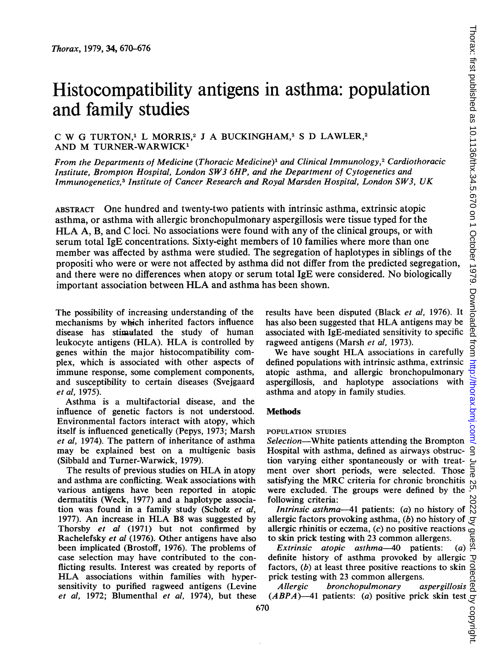# Histocompatibility antigens in asthma: population and family studies

# C W G TURTON,<sup>1</sup> L MORRIS,<sup>2</sup> J A BUCKINGHAM,<sup>3</sup> S D LAWLER,<sup>2</sup> AND M TURNER-WARWICK'

From the Departments of Medicine (Thoracic Medicine)<sup>1</sup> and Clinical Immunology,<sup>2</sup> Cardiothoracic Institute, Brompton Hospital, London SW3 6HP, and the Department of Cytogenetics and Immunogenetics,3 Institute of Cancer Research and Royal Marsden Hospital, London SW3, UK

ABSTRACT One hundred and twenty-two patients with intrinsic asthma, extrinsic atopic asthma, or asthma with allergic bronchopulmonary aspergillosis were tissue typed for the HLA A, B, and C loci. No associations were found with any of the clinical groups, or with serum total IgE concentrations. Sixty-eight members of 10 families where more than one member was affected by asthma were studied. The segregation of haplotypes in siblings of the propositi who were or were not affected by asthma did not differ from the predicted segregation, and there were no differences when atopy or serum total IgE were considered. No biologically important association between HLA and asthma has been shown.

The possibility of increasing understanding of the mechanisms by which inherited factors influence disease has stimulated the study of human leukocyte antigens (HLA). HLA is controlled by genes within the major histocompatibility complex, which is associated with other aspects of immune response, some complement components, and susceptibility to certain diseases (Svejgaard et al, 1975).

Asthma is a multifactorial disease, and the influence of genetic factors is not understood. Environmental factors interact with atopy, which itself is influenced genetically (Pepys, 1973; Marsh et al, 1974). The pattern of inheritance of asthma may be explained best on a multigenic basis (Sibbald and Turner-Warwick, 1979).

The results of previous studies on HLA in atopy and asthma are conflicting. Weak associations with various antigens have been reported in atopic dermatitis (Weck, 1977) and a haplotype association was found in a family study (Scholz et al, 1977). An increase in HLA B8 was suggested by Thorsby et al (1971) but not confirmed by Rachelefsky et al (1976). Other antigens have also been implicated (Brostoff, 1976). The problems of case selection may have contributed to the conflicting results. Interest was created by reports of HLA associations within families with hypersensitivity to purified ragweed antigens (Levine et al, 1972; Blumenthal et al, 1974), but these results have been disputed (Black et al, 1976). It has also been suggested that HLA antigens may be associated with IgE-mediated sensitivity to specific ragweed antigens (Marsh et al, 1973).

We have sought HLA associations in carefully defined populations with intrinsic asthma, extrinsic atopic asthma, and allergic bronchopulmonary aspergillosis, and haplotype associations with asthma and atopy in family studies.

## **Methods**

#### POPULATION STUDIES

Selection-White patients attending the Brompton Hospital with asthma, defined as airways obstruction varying either spontaneously or with treatment over short periods, were selected. Those satisfying the MRC criteria for chronic bronchitis were excluded. The groups were defined by the following criteria:

Intrinsic asthma-41 patients:  $(a)$  no history of allergic factors provoking asthma,  $(b)$  no history of allergic rhinitis or eczema,  $(c)$  no positive reactions  $\overline{a}$  to skin prick testing with 23 common allergens.  $\overline{a}$   $\overline{b}$   $\overline{b}$   $\overline{b}$   $\overline{c}$   $\overline{c}$   $\overline{c}$   $\overline{d}$   $\overline{c}$   $\overline{d}$   $\overline{c}$   $\overline{d}$  to skin prick testing with 23 common allergens.

Extrinsic atopic asthma-40 patients:  $(a)$ definite history of asthma provoked by allergic  $\neg$ <br>factors, (b) at least three positive reactions to skin of<br>prick testing with 23 common allergens.<br>*Allergic bronchopulmonary aspergillosis* and<br>(*ABPA*)—41 patients: ( factors, (b) at least three positive reactions to skin prick testing with 23 common allergens.<br>Allergic bronchopulmonary aspergillosis

Allergic bronchopulmonary  $(ABPA)$ —41 patients: (a) positive prick skin test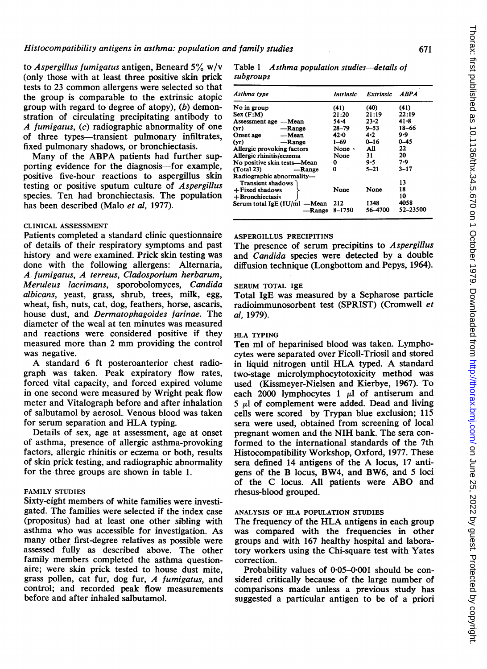to Aspergillus fumigatus antigen, Beneard  $5\%$  w/v (only those with at least three positive skin prick tests to 23 common allergens were selected so that the group is comparable to the extrinsic atopic group with regard to degree of atopy), (b) demonstration of circulating precipitating antibody to A fumigatus, (c) radiographic abnormality of one of three types-transient pulmonary infiltrates, fixed pulmonary shadows, or bronchiectasis.

Many of the ABPA patients had further supporting evidence for the diagnosis-for example, positive five-hour reactions to aspergillus skin testing or positive sputum culture of Aspergillus species. Ten had bronchiectasis. The population has been described (Malo et al. 1977).

## CLINICAL ASSESSMENT

Patients completed a standard clinic questionnaire of details of their respiratory symptoms and past history and were examined. Prick skin testing was done with the following allergens: Alternaria, A fumigatus, A terreus, Cladosporium herbarum, Meruleus lacrimans, sporobolomyces, Candida albicans, yeast, grass, shrub, trees, milk, egg, wheat, fish, nuts, cat, dog, feathers, horse, ascaris, house dust, and Dermatophagoides farinae. The diameter of the weal at ten minutes was measured and reactions were considered positive if they measured more than <sup>2</sup> mm providing the control was negative.

A standard <sup>6</sup> ft posteroanterior chest radiograph was taken. Peak expiratory flow rates, forced vital capacity, and forced expired volume in one second were measured by Wright peak flow meter and Vitalograph before and after inhalation of salbutamol by aerosol. Venous blood was taken for serum separation and HLA typing.

Details of sex, age at assessment, age at onset of asthma, presence of allergic asthma-provoking factors, allergic rhinitis or eczema or both, results of skin prick testing, and radiographic abnormality for the-three groups are shown in table 1.

# FAMILY STUDIES

Sixty-eight members of white families were investigated. The families were selected if the index case (propositus) had at least one other sibling with asthma who was accessible for investigation. As many other first-degree relatives as possible were assessed fully as described above. The other family members completed the asthma questionaire; were skin prick tested to house dust mite, grass pollen, cat fur, dog fur, A fumigatus, and control; and recorded peak flow measurements before and after inhaled salbutamol.

#### Table 1 Asthma population studies-details of subgroups

| Asthma type                     | Intrinsic | Extrinsic | <i><b>ABPA</b></i> |
|---------------------------------|-----------|-----------|--------------------|
| No in group                     | (41)      | (40)      | (41)               |
| Sex(F:M)                        | 21:20     | 21:19     | 22:19              |
| Assessment age -Mean            | $54 - 4$  | $23 - 2$  | 41 - 8             |
| (vr)<br>-Range                  | 28–79     | $9 - 53$  | 18-66              |
| —Mean<br>Onset age              | $42 - 0$  | 4.2       | 9.9                |
| (vr)<br>-Range                  | $1 - 69$  | $0 - 16$  | $0 - 45$           |
| Allergic provoking factors      | None ·    | All       | 22                 |
| Allergic rhinitis/eczema        | None      | 31        | 20                 |
| No positive skin tests—Mean     | 0         | 9.5       | 7.9                |
| (Total 23)<br>-Range            | ۰0        | $5 - 21$  | $3 - 17$           |
| Radiographic abnormality-       |           |           |                    |
| Transient shadows               |           |           | 13                 |
| $+$ Fixed shadows               | None      | None      | 18                 |
| + Bronchiectasis                |           |           | 10                 |
| Serum total IgE (IU/ml<br>—Mean | 212       | 1348      | 4058               |
| -Range                          | 8-1750    | 56-4700   | 52-23500           |

## ASPERGILLUS PRECIPITINS

The presence of serum precipitins to Aspergillus and Candida species were detected by a double diffusion technique (Longbottom and Pepys, 1964).

# SERUM TOTAL IgE

Total IgE was measured by a Sepharose particle radioimmunosorbent test (SPRIST) (Cromwell et al, 1979).

# HLA TYPING

Ten ml of heparinised blood was taken. Lymphocytes were separated over Ficoll-Triosil and stored in liquid nitrogen until HLA typed. A standard two-stage microlymphocytotoxicity method was used (Kissmeyer-Nielsen and Kierbye, 1967). To each 2000 lymphocytes  $1 \mu l$  of antiserum and  $5 \mu$ l of complement were added. Dead and living cells were scored by Trypan blue exclusion; 115 sera were used, obtained from screening of local pregnant women and the NIH bank. The sera conformed to the international standards of the 7th Histocompatibility Workshop, Oxford, 1977. These sera defined <sup>14</sup> antigens of the A locus, <sup>17</sup> antigens of the B locus, BW4, and BW6, and <sup>5</sup> loci of the C locus. All patients were ABO and rhesus-blood grouped.

# ANALYSIS OF HLA POPULATION STUDIES

The frequency of the HLA antigens in each group was compared with the frequencies in other groups and with 167 healthy hospital and laboratory workers using the Chi-square test with Yates correction.

Probability values of  $0.05-0.001$  should be considered critically because of the large number of comparisons made unless a previous study has suggested a particular antigen to be of a priori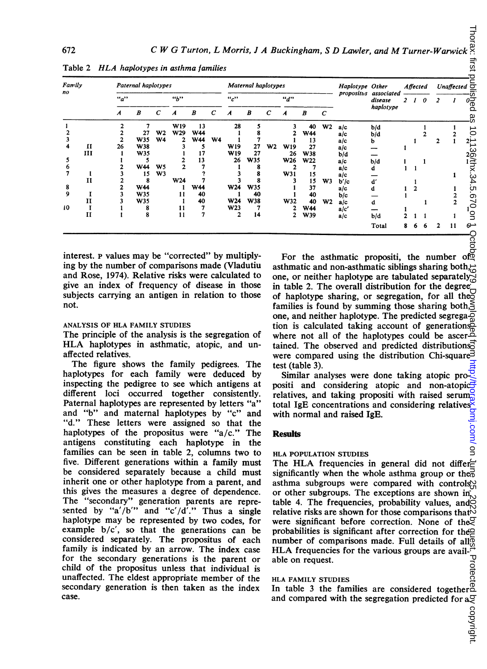| Family<br>no<br>"a"<br>$\boldsymbol{A}$ |                   | Paternal haplotypes<br>Maternal haplotypes                                                                                                                                                                                                                                                                                                                                                                                                                                                                                                                                                                                                                                                                                                                                                                                                                                                                                                                                                                                                                                                                                                                                                                                                                                                                                                                                                                 |                          |                |            |                  |             |            |                  |    |                                                          |                   | Haplotype Other |                                                                                                                                                                                                                                                                                                                                                                                                                                                                                                                                                                                                                                                                                                                                                                                                                                                                                                                                                                                                                                                                                                                                                                                                                                                                                                                                                                                                                 |          | <b>Affected</b> |                   | Unaffected $\overline{\sigma}$ |              |                              |                       |
|-----------------------------------------|-------------------|------------------------------------------------------------------------------------------------------------------------------------------------------------------------------------------------------------------------------------------------------------------------------------------------------------------------------------------------------------------------------------------------------------------------------------------------------------------------------------------------------------------------------------------------------------------------------------------------------------------------------------------------------------------------------------------------------------------------------------------------------------------------------------------------------------------------------------------------------------------------------------------------------------------------------------------------------------------------------------------------------------------------------------------------------------------------------------------------------------------------------------------------------------------------------------------------------------------------------------------------------------------------------------------------------------------------------------------------------------------------------------------------------------|--------------------------|----------------|------------|------------------|-------------|------------|------------------|----|----------------------------------------------------------|-------------------|-----------------|-----------------------------------------------------------------------------------------------------------------------------------------------------------------------------------------------------------------------------------------------------------------------------------------------------------------------------------------------------------------------------------------------------------------------------------------------------------------------------------------------------------------------------------------------------------------------------------------------------------------------------------------------------------------------------------------------------------------------------------------------------------------------------------------------------------------------------------------------------------------------------------------------------------------------------------------------------------------------------------------------------------------------------------------------------------------------------------------------------------------------------------------------------------------------------------------------------------------------------------------------------------------------------------------------------------------------------------------------------------------------------------------------------------------|----------|-----------------|-------------------|--------------------------------|--------------|------------------------------|-----------------------|
|                                         |                   |                                                                                                                                                                                                                                                                                                                                                                                                                                                                                                                                                                                                                                                                                                                                                                                                                                                                                                                                                                                                                                                                                                                                                                                                                                                                                                                                                                                                            |                          | ``b"           |            |                  | ``c"<br>"d" |            |                  |    |                                                          |                   |                 | propositus associated<br>disease                                                                                                                                                                                                                                                                                                                                                                                                                                                                                                                                                                                                                                                                                                                                                                                                                                                                                                                                                                                                                                                                                                                                                                                                                                                                                                                                                                                |          | 21              | 0                 | $\overline{c}$                 | 1            | $\vec{\mathcal{E}}$          |                       |
|                                         | B                 | с                                                                                                                                                                                                                                                                                                                                                                                                                                                                                                                                                                                                                                                                                                                                                                                                                                                                                                                                                                                                                                                                                                                                                                                                                                                                                                                                                                                                          | $\boldsymbol{A}$         | B              | С          | $\boldsymbol{A}$ | B           | С          | $\boldsymbol{A}$ | B  | C                                                        |                   | haplotype       |                                                                                                                                                                                                                                                                                                                                                                                                                                                                                                                                                                                                                                                                                                                                                                                                                                                                                                                                                                                                                                                                                                                                                                                                                                                                                                                                                                                                                 |          |                 |                   |                                |              |                              |                       |
| 1<br>$\mathbf{2}$                       |                   | $\overline{\mathbf{c}}$<br>$\mathbf{2}$                                                                                                                                                                                                                                                                                                                                                                                                                                                                                                                                                                                                                                                                                                                                                                                                                                                                                                                                                                                                                                                                                                                                                                                                                                                                                                                                                                    | 7<br>27                  | W <sub>2</sub> | W19<br>W29 | 13<br>W44        |             | 28<br>1    | 5<br>8           |    | 3<br>2                                                   | 40                | W2              | a/c                                                                                                                                                                                                                                                                                                                                                                                                                                                                                                                                                                                                                                                                                                                                                                                                                                                                                                                                                                                                                                                                                                                                                                                                                                                                                                                                                                                                             | b/d      |                 |                   | 1                              |              | 1                            |                       |
| 3                                       |                   | 2                                                                                                                                                                                                                                                                                                                                                                                                                                                                                                                                                                                                                                                                                                                                                                                                                                                                                                                                                                                                                                                                                                                                                                                                                                                                                                                                                                                                          | W35                      | W4             | 2          | <b>W44</b>       | <b>W4</b>   | 1          | 7                |    | 1                                                        | <b>W44</b><br>13  |                 | a/c<br>a/c                                                                                                                                                                                                                                                                                                                                                                                                                                                                                                                                                                                                                                                                                                                                                                                                                                                                                                                                                                                                                                                                                                                                                                                                                                                                                                                                                                                                      | b/d<br>b |                 | 1                 | 2                              | $\mathbf{2}$ | $\mathbf 2$<br>$\mathbf{1}$  |                       |
| 4                                       | П<br>Ш            | 26<br>1                                                                                                                                                                                                                                                                                                                                                                                                                                                                                                                                                                                                                                                                                                                                                                                                                                                                                                                                                                                                                                                                                                                                                                                                                                                                                                                                                                                                    | W38<br><b>W35</b>        |                | 3<br>1     | 5<br>17          |             | W19<br>W19 | 27<br>27         | W2 | <b>W19</b><br>26                                         | 27<br><b>W38</b>  |                 | a/c<br>b/d                                                                                                                                                                                                                                                                                                                                                                                                                                                                                                                                                                                                                                                                                                                                                                                                                                                                                                                                                                                                                                                                                                                                                                                                                                                                                                                                                                                                      |          | 1               |                   |                                |              |                              |                       |
| 5<br>6                                  |                   | 1<br>2                                                                                                                                                                                                                                                                                                                                                                                                                                                                                                                                                                                                                                                                                                                                                                                                                                                                                                                                                                                                                                                                                                                                                                                                                                                                                                                                                                                                     | 5<br>W44                 | W5             | 2<br>2     | 13<br>7          |             | 26<br>в    | <b>W35</b><br>8  |    | W26<br>2                                                 | <b>W22</b><br>7   |                 | a/c<br>a/c                                                                                                                                                                                                                                                                                                                                                                                                                                                                                                                                                                                                                                                                                                                                                                                                                                                                                                                                                                                                                                                                                                                                                                                                                                                                                                                                                                                                      | b/d<br>d | 1               | 1                 | 1                              |              |                              |                       |
| 7                                       | $\mathbf{I}$<br>п | 3<br>2                                                                                                                                                                                                                                                                                                                                                                                                                                                                                                                                                                                                                                                                                                                                                                                                                                                                                                                                                                                                                                                                                                                                                                                                                                                                                                                                                                                                     | 15<br>8                  | W3             | W24        | 7<br>7           |             | 3<br>3     | 8<br>8           |    | W31<br>3                                                 | 15<br>15          |                 | a/c                                                                                                                                                                                                                                                                                                                                                                                                                                                                                                                                                                                                                                                                                                                                                                                                                                                                                                                                                                                                                                                                                                                                                                                                                                                                                                                                                                                                             |          |                 |                   |                                |              | 1                            | 0.1196178.34.51010101 |
| 8                                       |                   | 2                                                                                                                                                                                                                                                                                                                                                                                                                                                                                                                                                                                                                                                                                                                                                                                                                                                                                                                                                                                                                                                                                                                                                                                                                                                                                                                                                                                                          | <b>W44</b>               |                | -1         | <b>W44</b>       |             | W24        | <b>W35</b>       |    | 1                                                        | 37                | W3              | b′/c<br>a/c                                                                                                                                                                                                                                                                                                                                                                                                                                                                                                                                                                                                                                                                                                                                                                                                                                                                                                                                                                                                                                                                                                                                                                                                                                                                                                                                                                                                     | ď<br>d   | $\mathbf{1}$    | 1<br>$\mathbf{2}$ |                                |              | 1                            |                       |
| 9                                       | 1<br>п            | 3<br>3                                                                                                                                                                                                                                                                                                                                                                                                                                                                                                                                                                                                                                                                                                                                                                                                                                                                                                                                                                                                                                                                                                                                                                                                                                                                                                                                                                                                     | <b>W35</b><br><b>W35</b> |                | 11<br>-1   | 40<br>40         |             | 1<br>W24   | 40<br><b>W38</b> |    | 1<br>W32                                                 | 40<br>40          | W2              | b/c<br>a/c                                                                                                                                                                                                                                                                                                                                                                                                                                                                                                                                                                                                                                                                                                                                                                                                                                                                                                                                                                                                                                                                                                                                                                                                                                                                                                                                                                                                      | d        | 1               |                   | 1                              |              | 2<br>$\overline{\mathbf{2}}$ |                       |
| 10                                      | П<br>П            | 1<br>1                                                                                                                                                                                                                                                                                                                                                                                                                                                                                                                                                                                                                                                                                                                                                                                                                                                                                                                                                                                                                                                                                                                                                                                                                                                                                                                                                                                                     | 8<br>8                   |                | 11<br>11   | 7<br>7           |             | W23<br>2   | 7<br>14          |    | 2<br>2                                                   | <b>W44</b><br>W39 |                 | a/c'<br>a/c                                                                                                                                                                                                                                                                                                                                                                                                                                                                                                                                                                                                                                                                                                                                                                                                                                                                                                                                                                                                                                                                                                                                                                                                                                                                                                                                                                                                     | b/d      | 2               | 1                 | - 1                            |              | 1                            |                       |
|                                         |                   |                                                                                                                                                                                                                                                                                                                                                                                                                                                                                                                                                                                                                                                                                                                                                                                                                                                                                                                                                                                                                                                                                                                                                                                                                                                                                                                                                                                                            |                          |                |            |                  |             |            |                  |    |                                                          |                   |                 |                                                                                                                                                                                                                                                                                                                                                                                                                                                                                                                                                                                                                                                                                                                                                                                                                                                                                                                                                                                                                                                                                                                                                                                                                                                                                                                                                                                                                 | Total    | 8               | 6                 | 6                              | 2            | 11                           | $6 -$                 |
|                                         |                   |                                                                                                                                                                                                                                                                                                                                                                                                                                                                                                                                                                                                                                                                                                                                                                                                                                                                                                                                                                                                                                                                                                                                                                                                                                                                                                                                                                                                            |                          |                |            |                  |             |            |                  |    |                                                          |                   |                 |                                                                                                                                                                                                                                                                                                                                                                                                                                                                                                                                                                                                                                                                                                                                                                                                                                                                                                                                                                                                                                                                                                                                                                                                                                                                                                                                                                                                                 |          |                 |                   |                                |              |                              |                       |
| not.<br>case.                           |                   | ANALYSIS OF HLA FAMILY STUDIES<br>The principle of the analysis is the segregation of<br>HLA haplotypes in asthmatic, atopic, and un-<br>affected relatives.<br>The figure shows the family pedigrees. The<br>haplotypes for each family were deduced by<br>inspecting the pedigree to see which antigens at<br>different loci occurred together consistently.<br>Paternal haplotypes are represented by letters "a"<br>and "b" and maternal haplotypes by "c" and<br>"d." These letters were assigned so that the<br>haplotypes of the propositus were " $a/c$ ." The<br>antigens constituting each haplotype in the<br>families can be seen in table 2, columns two to<br>five. Different generations within a family must<br>be considered separately because a child must<br>inherit one or other haplotype from a parent, and<br>this gives the measures a degree of dependence.<br>The "secondary" generation parents are repre-<br>sented by "a'/b'" and "c'/d'." Thus a single<br>haplotype may be represented by two codes, for<br>example b/c', so that the generations can be<br>considered separately. The propositus of each<br>family is indicated by an arrow. The index case<br>for the secondary generations is the parent or<br>child of the propositus unless that individual is<br>unaffected. The eldest appropriate member of the<br>secondary generation is then taken as the index |                          |                |            |                  |             |            |                  |    | test $(table 3)$ .<br><b>Results</b><br>able on request. |                   |                 | families is found by summing those sharing both, $\leq$<br>one, and neither haplotype. The predicted segrega $\overline{Q}$<br>tion is calculated taking account of generations<br>where not all of the haplotypes could be ascer-<br>tained. The observed and predicted distributions<br>were compared using the distribution Chi-square<br>Similar analyses were done taking atopic pro-<br>positi and considering atopic and non-atopic<br>relatives, and taking propositi with raised serumation<br>total IgE concentrations and considering relatives $\bar{\mathbf{x}}$<br>with normal and raised IgE.<br><b>HLA POPULATION STUDIES</b><br>The HLA frequencies in general did not differ $\epsilon$<br>significantly when the whole asthma group or the <sub>0</sub><br>asthma subgroups were compared with controls)?<br>or other subgroups. The exceptions are shown in<br>table 4. The frequencies, probability values, and<br>relative risks are shown for those comparisons that <sup>1</sup><br>were significant before correction. None of the.<br>probabilities is significant after correction for the $\Omega$<br>number of comparisons made. Full details of all <sub>o</sub><br>HLA frequencies for the various groups are avail- $\ddot{\cdot}$<br>HLA FAMILY STUDIES<br>In table 3 the families are considered togethered<br>and compared with the segregation predicted for $a\mathcal{Q}$ |          |                 |                   |                                |              |                              |                       |

Table <sup>2</sup> HLA haplotypes in asthma families

## ANALYSIS OF HLA FAMILY STUDIES

# **Results**

## HLA POPULATION STUDIES

#### HLA FAMILY STUDIES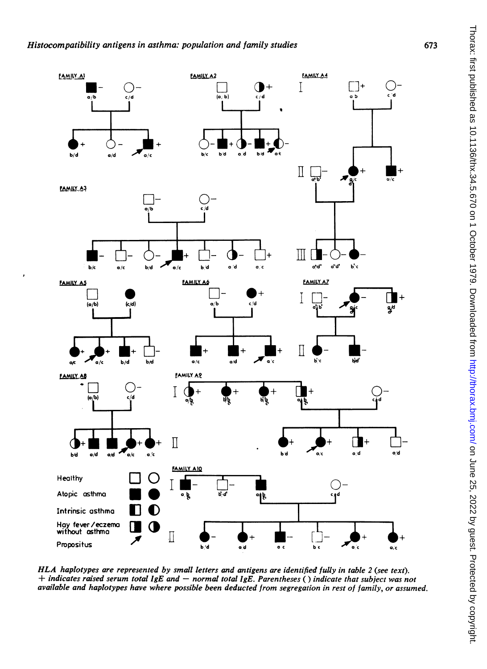

HLA haplotypes are represented by small letters and antigens are identified fully in table 2 (see text).  $+$  indicates raised serum total IgE and  $-$  normal total IgE. Parentheses () indicate that subject was not available and haplotypes have where possible been deducted from segregation in rest of family, or assumed.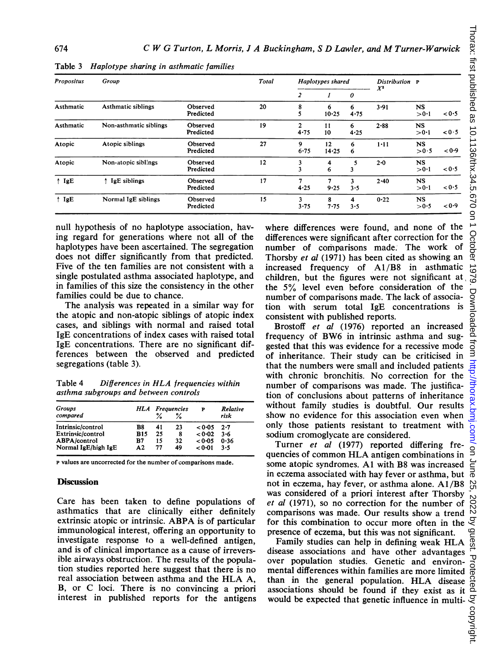| <b>Propositus</b> | Group                  | Total                 |    | Haplotypes shared    |             | Distribution P<br>$X^2$ |          |                    |       |
|-------------------|------------------------|-----------------------|----|----------------------|-------------|-------------------------|----------|--------------------|-------|
|                   |                        |                       |    | 2                    |             | 0                       |          |                    |       |
| Asthmatic         | Asthmatic siblings     | Observed<br>Predicted | 20 | 8                    | 6<br>10.25  | 6<br>4.75               | 3.91     | <b>NS</b><br>>0.1  | < 0.5 |
| Asthmatic         | Non-asthmatic siblings | Observed<br>Predicted | 19 | $\mathbf{2}$<br>4.75 | 11<br>10    | 6<br>4.25               | $2 - 88$ | <b>NS</b><br>> 0.1 | < 0.5 |
| Atopic            | Atopic siblings        | Observed<br>Predicted | 27 | 9<br>$6 - 75$        | 12<br>14.25 | 6<br>6                  | $1 - 11$ | <b>NS</b><br>>0.5  | < 0.9 |
| Atopic            | Non-atopic siblings    | Observed<br>Predicted | 12 | 3                    | 4<br>6      | 5<br>3                  | $2 - 0$  | <b>NS</b><br>>0.1  | < 0.5 |
| $\uparrow$ IgE    | IgE siblings<br>÷.     | Observed<br>Predicted | 17 | 4.25                 | 7<br>9.25   | 3<br>3.5                | $2 - 40$ | <b>NS</b><br>>0.1  | 0.5   |
| $\uparrow$ IgE    | Normal IgE siblings    | Observed<br>Predicted | 15 | 3<br>3.75            | 8<br>7.75   | 4<br>3.5                | 0.22     | <b>NS</b><br>> 0.5 | < 0.9 |

Table 3 Haplotype sharing in asthmatic families

null hypothesis of no haplotype association, having regard for generations where not all of the haplotypes have been ascertained. The segregation does not differ significantly from that predicted. Five of the ten families are not consistent with a single postulated asthma associated haplotype, and in families of this size the consistency in the other families could be due to chance.

The analysis was repeated in a similar way for the atopic and non-atopic siblings of atopic index cases, and siblings with normal and raised total IgE concentrations of index cases with raised total IgE concentrations. There are no significant differences between the observed and predicted segregations (table 3).

Table <sup>4</sup> Differences in HLA frequencies within asthma subgroups and between controls

| <b>Groups</b>       |               |    | <b>HLA</b> Frequencies | P      | Relative<br>risk |  |
|---------------------|---------------|----|------------------------|--------|------------------|--|
| compared            |               |    | ℅                      |        |                  |  |
| Intrinsic/control   | B8            | 41 | 23                     | < 0.05 | 2.7              |  |
| Extrinsic/control   | <b>B15</b>    | 25 | 8                      | < 0.02 | $3 - 6$          |  |
| <b>ABPA/control</b> | B7            | 15 | 32                     | < 0.05 | 0.36             |  |
| Normal IgE/high IgE | $\mathbf{A}2$ | 77 | 49                     | < 0.01 | $3 - 5$          |  |

P values are uncorrected for the number of comparisons made.

## **Discussion**

Care has been taken to define populations of asthmatics that are clinically either definitely extrinsic atopic or intrinsic. ABPA is of particular immunological interest, offering an opportunity to investigate response to a well-defined antigen, and is of clinical importance as a cause of irreversible airways obstruction. The results of the population studies reported here suggest that there is no real association between asthma and the HLA A, B, or C loci. There is no convincing a priori interest in published reports for the antigens where differences were found, and none of the differences were significant after correction for the number of comparisons made. The work of Thorsby et al (1971) has been cited as showing an increased frequency of A1/B8 in asthmatic children, but the figures were not significant at the 5% level even before consideration of the number of comparisons made. The lack of association with serum total IgE concentrations is consistent with published reports.

Brostoff et al (1976) reported an increased frequency of BW6 in intrinsic asthma and suggested that this was evidence for a recessive mode of inheritance. Their study can be criticised in that the numbers were small and included patients with chronic bronchitis. No correction for the number of comparisons was made. The justification of conclusions about patterns of inheritance without family studies is doubtful. Our results show no evidence for this association even when only those patients resistant to treatment with sodium cromoglycate are considered.

Turner et al (1977) reported differing frequencies of common HLA antigen combinations in some atopic syndromes. Al with B8 was increased in eczema associated with hay fever or asthma, but not in eczema, hay fever, or asthma alone. Al /B8 was considered of a priori interest after Thorsby et al (1971), so no correction for the number of comparisons was made. Our results show a trend for this combination to occur more often in the presence of eczema, but this was not significant.

Family studies can help in defining weak HLA disease associations and have other advantages over population studies. Genetic and environmental differences within families are more limited than in the general population. HLA disease associations should be found if they exist as it  $\frac{a}{c}$ <br>would be expected that genetic influence in multi- $\frac{c}{c}$ <br> $\frac{c}{c}$ would be expected that genetic influence in multi-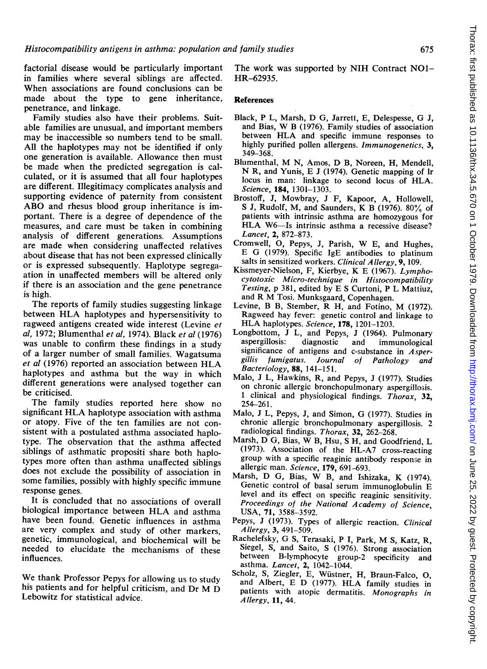factorial disease would be particularly important in families where several siblings are affected. When associations are found conclusions can be made about the type to gene inheritance, penetrance, and linkage.

Family studies also have their problems. Suitable families are unusual, and important members may be inaccessible so numbers tend to be small. All the haplotypes may not be identified if only one generation is available. Allowance then must be made when the predicted segregation is calculated, or it is assumed that all four haplotypes are different. Illegitimacy complicates analysis and supporting evidence of paternity from consistent ABO and rhesus blood group inheritance is important. There is a degree of dependence of the measures, and care must be taken in combining analysis of different generations. Assumptions are made when considering unaffected relatives about disease that has not been expressed clinically or is expressed subsequently. Haplotype segregaation in unaffected members will be altered only if there is an association and the gene penetrance is high.

The reports of family studies suggesting linkage between HLA haplotypes and hypersensitivity to ragweed antigens created wide interest (Levine et al, 1972; Blumenthal et al, 1974). Black et al (1976) was unable to confirm these findings in a study of a larger number of small families. Wagatsuma et al (1976) reported an association between HLA haplotypes and asthma but the way in which different generations were analysed together can be criticised.

The family studies reported here show no significant HLA haplotype association with asthma or atopy. Five of the ten families are not consistent with a postulated asthma associated haplotype. The observation that the asthma affected siblings of asthmatic propositi share both haplotypes more often than asthma unaffected siblings does not exclude the possibility of association in some families, possibly with highly specific immune response genes.

It is concluded that no associations of overall biological importance between HLA and asthma have been found. Genetic influences in asthma are very complex and study of other markers, genetic, immunological, and biochemical will be needed to elucidate the mechanisms of these influences.

We thank Professor Pepys for allowing us to study his patients and for helpful criticism, and Dr M D Lebowitz for statistical advice.

The work was supported by NIH Contract NOI-HR-62935.

# **References**

- Black, <sup>P</sup> L, Marsh, D G, Jarrett, E, Delespesse, G J, and Bias, W <sup>B</sup> (1976). Family studies of association between HLA and specific immune responses to highly purified pollen allergens. Immunogenetics, 3, 349-368.
- Blumenthal, M N, Amos, D B, Noreen, H, Mendell, N R, and Yunis, E <sup>J</sup> (1974). Genetic mapping of Ir locus in man: linkage to second locus of HLA. Science, 184, 1301-1303.
- Brostoff, J, Mowbray, J F, Kapoor, A, Hollowell, <sup>S</sup> J, Rudolf, M, and Saunders, K B (1976). 80% of patients with intrinsic asthma are homozygous for HLA W6-Is intrinsic asthma a recessive disease? Lancet, 2, 872-873.
- Cromwell, 0, Pepys, J, Parish, W E, and Hughes, E G (1979). Specific IgE antibodies to platinum salts in sensitized workers. Clinical Allergy, 9, 109.
- Kissmeyer-Nielson, F, Kierbye, K E (1967). Lymphocytotoxic Micro-technique in Histocompatibility Testing, p 381, edited by E <sup>S</sup> Curtoni, P L Mattiuz, and R M Tosi. Munksgaard, Copenhagen.
- Levine, <sup>B</sup> B, Stember, R H, and Fotino, M (1972). Ragweed hay fever: genetic control and linkage to HLA haplotypes. Science, 178, 1201-1203.
- Longbottom, J L, and Pepys, J (1964). Pulmonary<br>aspergillosis: diagnostic and immunological aspergillosis: diagnostic and immunological significance of antigens and c-substance in Aspergillis fumigatus. Journal of Pathology and Bacteriology, 88, 141-151.
- Malo, J L, Hawkins, R, and Pepys, J (1977). Studies on chronic allergic bronchopulmonary aspergillosis. <sup>1</sup> clinical and physiological findings. Thorax, 32, 254-261.
- Malo, <sup>J</sup> L, Pepys, J, and Simon, G (1977). Studies in chronic allergic bronchopulmonary aspergillosis. 2 radiological findings. Thorax, 32, 262-268.
- Marsh, D G, Bias, W B, Hsu, <sup>S</sup> H, and Goodfriend, <sup>L</sup> (1973). Association of the HL-A7 cross-reacting group with a specific reaginic antibody response in allergic man. Science, 179, 691-693.
- Marsh, D G, Bias, W B, and Ishizaka, K (1974). Genetic control of basal serum immunoglobulin E level and its effect on specific reaginic sensitivity. Proceedings of the National Academy of Science, USA, 71, 3588-3592.
- Pepys, J (1973). Types of allergic reaction. Clinical Allergy, 3, 491-509.
- Rachelefsky, G S, Terasaki, <sup>P</sup> I, Park, M S, Katz, R, Siegel, S, and Saito, S (1976). Strong association between B-lymphocyte group-2 specificity and asthma. Lancet, 2, 1042-1044.
- Scholz, S, Ziegler, E, Wustner, H, Braun-Falco, 0, and Albert, E D (1977). HLA family studies in patients with atopic dermatitis. Monographs in Allergy, 11, 44.